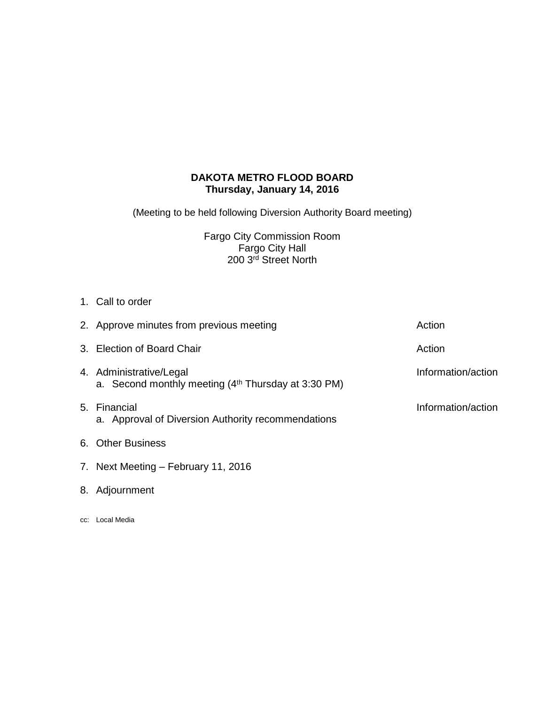# **DAKOTA METRO FLOOD BOARD Thursday, January 14, 2016**

(Meeting to be held following Diversion Authority Board meeting)

Fargo City Commission Room Fargo City Hall 200 3rd Street North

1. Call to order

| 2. Approve minutes from previous meeting                                                   | Action             |
|--------------------------------------------------------------------------------------------|--------------------|
| 3. Election of Board Chair                                                                 | Action             |
| 4. Administrative/Legal<br>a. Second monthly meeting (4 <sup>th</sup> Thursday at 3:30 PM) | Information/action |
| 5. Financial<br>a. Approval of Diversion Authority recommendations                         | Information/action |
| 6. Other Business                                                                          |                    |
| 7. Next Meeting - February 11, 2016                                                        |                    |

- 8. Adjournment
- cc: Local Media